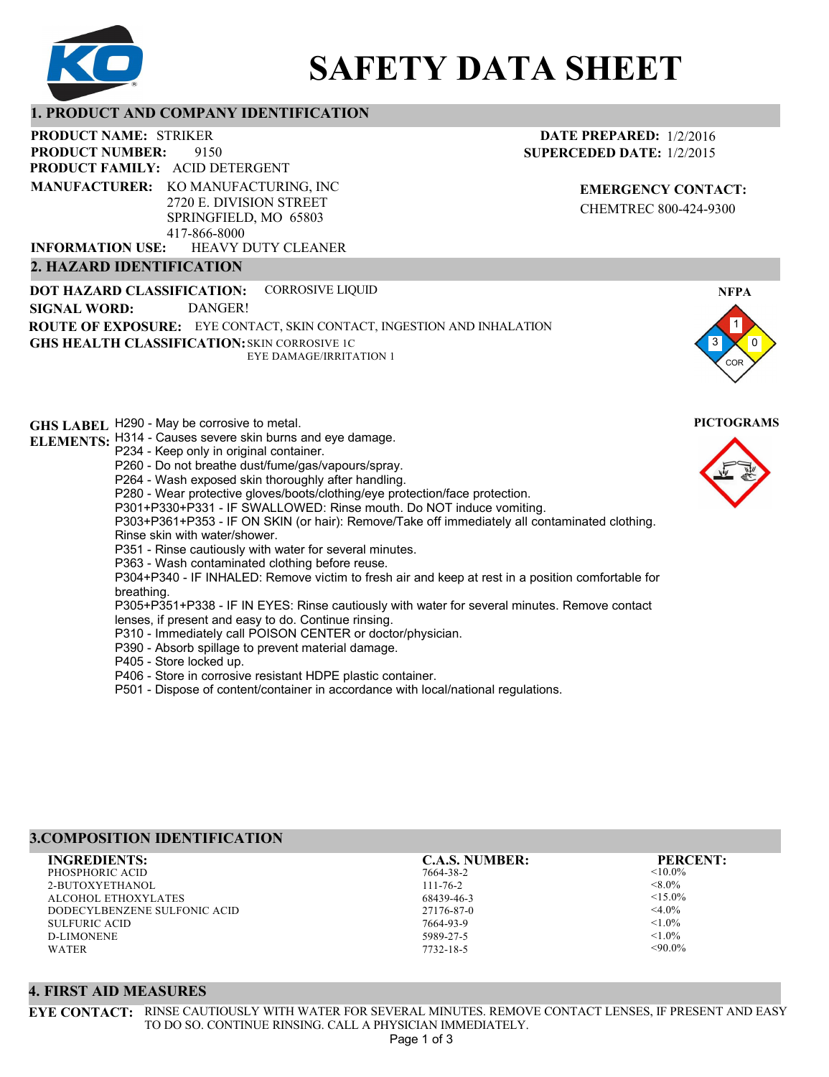

# **SAFETY DATA SHEET**

## **1. PRODUCT AND COMPANY IDENTIFICATION**

9150 **PRODUCT NAME: STRIKER PRODUCT FAMILY: ACID DETERGENT** HEAVY DUTY CLEANER **PRODUCT NUMBER: 2. HAZARD IDENTIFICATION MANUFACTURER:** KO MANUFACTURING, INC 2720 E. DIVISION STREET SPRINGFIELD, MO 65803 417-866-8000 **INFORMATION USE:**

**DATE PREPARED:** 1/2/2016 **SUPERCEDED DATE:** 1/2/2015

> **EMERGENCY CONTACT:** CHEMTREC 800-424-9300

**DOT HAZARD CLASSIFICATION: GHS HEALTH CLASSIFICATION:** SKIN CORROSIVE 1C **ROUTE OF EXPOSURE:** EYE CONTACT, SKIN CONTACT, INGESTION AND INHALATION CORROSIVE LIQUID EYE DAMAGE/IRRITATION 1 **SIGNAL WORD:** DANGER!

**GHS LABEL**  H290 - May be corrosive to metal. **PICTOGRAMS ELEMENTS:** H314 - Causes severe skin burns and eye damage. P234 - Keep only in original container. P260 - Do not breathe dust/fume/gas/vapours/spray. P264 - Wash exposed skin thoroughly after handling. P280 - Wear protective gloves/boots/clothing/eye protection/face protection. P301+P330+P331 - IF SWALLOWED: Rinse mouth. Do NOT induce vomiting. P303+P361+P353 - IF ON SKIN (or hair): Remove/Take off immediately all contaminated clothing. Rinse skin with water/shower. P351 - Rinse cautiously with water for several minutes. P363 - Wash contaminated clothing before reuse. P304+P340 - IF INHALED: Remove victim to fresh air and keep at rest in a position comfortable for breathing. P305+P351+P338 - IF IN EYES: Rinse cautiously with water for several minutes. Remove contact lenses, if present and easy to do. Continue rinsing. P310 - Immediately call POISON CENTER or doctor/physician. P390 - Absorb spillage to prevent material damage. P405 - Store locked up. P406 - Store in corrosive resistant HDPE plastic container. P501 - Dispose of content/container in accordance with local/national regulations.

# **3.COMPOSITION IDENTIFICATION**

PHOSPHORIC ACID 2-BUTOXYETHANOL ALCOHOL ETHOXYLATES DODECYLBENZENE SULFONIC ACID SULFURIC ACID D-LIMONENE WATER **INGREDIENTS: C.A.S. NUMBER: PERCENT:**

7664-38-2 111-76-2 68439-46-3 27176-87-0 7664-93-9 5989-27-5

7732-18-5

 $<$ 10.0%  $< 8.0\%$  $< 15.0\%$  $<$ 4.0%  $< 1.0\%$  $<1.0\%$  $<90.0\%$ 

## **4. FIRST AID MEASURES**

**EYE CONTACT:** RINSE CAUTIOUSLY WITH WATER FOR SEVERAL MINUTES. REMOVE CONTACT LENSES, IF PRESENT AND EASY TO DO SO. CONTINUE RINSING. CALL A PHYSICIAN IMMEDIATELY.

1 0

**NFPA**

COR

3

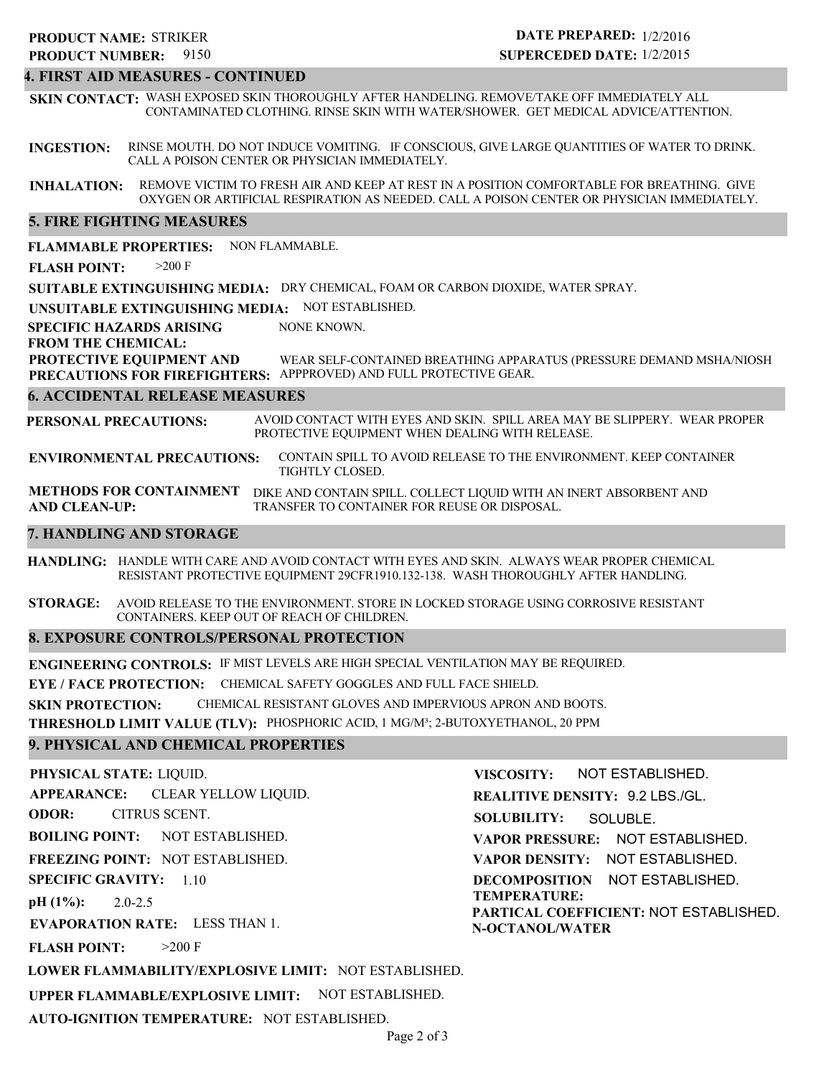# 9150 **PRODUCT NUMBER: PRODUCT NAME: STRIKER**

# **DATE PREPARED:** 1/2/2016 **SUPERCEDED DATE:** 1/2/2015

## **4. FIRST AID MEASURES - CONTINUED**

**SKIN CONTACT:** WASH EXPOSED SKIN THOROUGHLY AFTER HANDELING. REMOVE/TAKE OFF IMMEDIATELY ALL CONTAMINATED CLOTHING. RINSE SKIN WITH WATER/SHOWER. GET MEDICAL ADVICE/ATTENTION.

**INGESTION:** RINSE MOUTH. DO NOT INDUCE VOMITING. IF CONSCIOUS, GIVE LARGE QUANTITIES OF WATER TO DRINK. CALL A POISON CENTER OR PHYSICIAN IMMEDIATELY.

**INHALATION:** REMOVE VICTIM TO FRESH AIR AND KEEP AT REST IN A POSITION COMFORTABLE FOR BREATHING. GIVE OXYGEN OR ARTIFICIAL RESPIRATION AS NEEDED. CALL A POISON CENTER OR PHYSICIAN IMMEDIATELY.

### **5. FIRE FIGHTING MEASURES**

**FLAMMABLE PROPERTIES:** NON FLAMMABLE.

**FLASH POINT:** >200 F

**SUITABLE EXTINGUISHING MEDIA:** DRY CHEMICAL, FOAM OR CARBON DIOXIDE, WATER SPRAY.

**UNSUITABLE EXTINGUISHING MEDIA:** NOT ESTABLISHED.

**SPECIFIC HAZARDS ARISING** NONE KNOWN.

**FROM THE CHEMICAL:**

**PROTECTIVE EQUIPMENT AND PRECAUTIONS FOR FIREFIGHTERS:** APPPROVED) AND FULL PROTECTIVE GEAR. WEAR SELF-CONTAINED BREATHING APPARATUS (PRESSURE DEMAND MSHA/NIOSH

#### **6. ACCIDENTAL RELEASE MEASURES**

**PERSONAL PRECAUTIONS:** AVOID CONTACT WITH EYES AND SKIN. SPILL AREA MAY BE SLIPPERY. WEAR PROPER PROTECTIVE EQUIPMENT WHEN DEALING WITH RELEASE.

**ENVIRONMENTAL PRECAUTIONS:** CONTAIN SPILL TO AVOID RELEASE TO THE ENVIRONMENT. KEEP CONTAINER TIGHTLY CLOSED.

**METHODS FOR CONTAINMENT** DIKE AND CONTAIN SPILL. COLLECT LIQUID WITH AN INERT ABSORBENT AND **AND CLEAN-UP:** TRANSFER TO CONTAINER FOR REUSE OR DISPOSAL.

## **7. HANDLING AND STORAGE**

**HANDLING:** HANDLE WITH CARE AND AVOID CONTACT WITH EYES AND SKIN. ALWAYS WEAR PROPER CHEMICAL RESISTANT PROTECTIVE EQUIPMENT 29CFR1910.132-138. WASH THOROUGHLY AFTER HANDLING.

**STORAGE:** AVOID RELEASE TO THE ENVIRONMENT. STORE IN LOCKED STORAGE USING CORROSIVE RESISTANT CONTAINERS. KEEP OUT OF REACH OF CHILDREN.

## **8. EXPOSURE CONTROLS/PERSONAL PROTECTION**

**ENGINEERING CONTROLS:** IF MIST LEVELS ARE HIGH SPECIAL VENTILATION MAY BE REQUIRED.

**EYE / FACE PROTECTION:** CHEMICAL SAFETY GOGGLES AND FULL FACE SHIELD.

**SKIN PROTECTION:** CHEMICAL RESISTANT GLOVES AND IMPERVIOUS APRON AND BOOTS.

**THRESHOLD LIMIT VALUE (TLV):** PHOSPHORIC ACID, 1 MG/M³; 2-BUTOXYETHANOL, 20 PPM

#### **9. PHYSICAL AND CHEMICAL PROPERTIES**

**PHYSICAL STATE:** LIQUID. **APPEARANCE: ODOR: BOILING POINT:** NOT ESTABLISHED. **FREEZING POINT:** NOT ESTABLISHED. **SPECIFIC GRAVITY:** 1.10 **pH (1%): EVAPORATION RATE:** LESS THAN 1. **FLASH POINT:** 2.0-2.5  $>200$  F CLEAR YELLOW LIQUID. CITRUS SCENT.

**VISCOSITY: REALITIVE DENSITY:** 9.2 LBS./GL. **SOLUBILITY: VAPOR PRESSURE:** NOT ESTABLISHED. **VAPOR DENSITY:** NOT ESTABLISHED. **DECOMPOSITION** NOT ESTABLISHED. **TEMPERATURE:** NOT ESTABLISHED. SOLUBLE.

**PARTICAL COEFFICIENT:** NOT ESTABLISHED. **N-OCTANOL/WATER**

**LOWER FLAMMABILITY/EXPLOSIVE LIMIT:** NOT ESTABLISHED.

**UPPER FLAMMABLE/EXPLOSIVE LIMIT:** NOT ESTABLISHED.

**AUTO-IGNITION TEMPERATURE:** NOT ESTABLISHED.